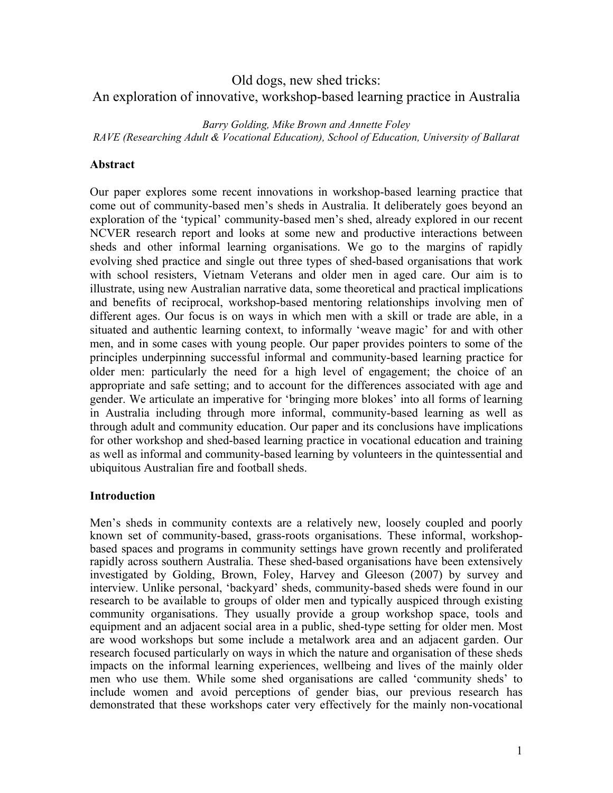# Old dogs, new shed tricks: An exploration of innovative, workshop-based learning practice in Australia

*Barry Golding, Mike Brown and Annette Foley RAVE (Researching Adult & Vocational Education), School of Education, University of Ballarat* 

## **Abstract**

Our paper explores some recent innovations in workshop-based learning practice that come out of community-based men's sheds in Australia. It deliberately goes beyond an exploration of the 'typical' community-based men's shed, already explored in our recent NCVER research report and looks at some new and productive interactions between sheds and other informal learning organisations. We go to the margins of rapidly evolving shed practice and single out three types of shed-based organisations that work with school resisters, Vietnam Veterans and older men in aged care. Our aim is to illustrate, using new Australian narrative data, some theoretical and practical implications and benefits of reciprocal, workshop-based mentoring relationships involving men of different ages. Our focus is on ways in which men with a skill or trade are able, in a situated and authentic learning context, to informally 'weave magic' for and with other men, and in some cases with young people. Our paper provides pointers to some of the principles underpinning successful informal and community-based learning practice for older men: particularly the need for a high level of engagement; the choice of an appropriate and safe setting; and to account for the differences associated with age and gender. We articulate an imperative for 'bringing more blokes' into all forms of learning in Australia including through more informal, community-based learning as well as through adult and community education. Our paper and its conclusions have implications for other workshop and shed-based learning practice in vocational education and training as well as informal and community-based learning by volunteers in the quintessential and ubiquitous Australian fire and football sheds.

## **Introduction**

Men's sheds in community contexts are a relatively new, loosely coupled and poorly known set of community-based, grass-roots organisations. These informal, workshopbased spaces and programs in community settings have grown recently and proliferated rapidly across southern Australia. These shed-based organisations have been extensively investigated by Golding, Brown, Foley, Harvey and Gleeson (2007) by survey and interview. Unlike personal, 'backyard' sheds, community-based sheds were found in our research to be available to groups of older men and typically auspiced through existing community organisations. They usually provide a group workshop space, tools and equipment and an adjacent social area in a public, shed-type setting for older men. Most are wood workshops but some include a metalwork area and an adjacent garden. Our research focused particularly on ways in which the nature and organisation of these sheds impacts on the informal learning experiences, wellbeing and lives of the mainly older men who use them. While some shed organisations are called 'community sheds' to include women and avoid perceptions of gender bias, our previous research has demonstrated that these workshops cater very effectively for the mainly non-vocational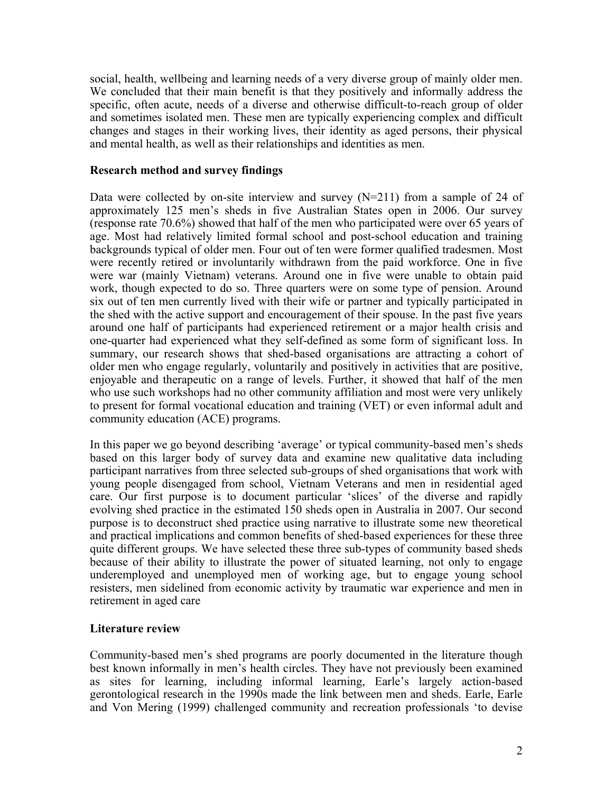social, health, wellbeing and learning needs of a very diverse group of mainly older men. We concluded that their main benefit is that they positively and informally address the specific, often acute, needs of a diverse and otherwise difficult-to-reach group of older and sometimes isolated men. These men are typically experiencing complex and difficult changes and stages in their working lives, their identity as aged persons, their physical and mental health, as well as their relationships and identities as men.

## **Research method and survey findings**

Data were collected by on-site interview and survey  $(N=211)$  from a sample of 24 of approximately 125 men's sheds in five Australian States open in 2006. Our survey (response rate 70.6%) showed that half of the men who participated were over 65 years of age. Most had relatively limited formal school and post-school education and training backgrounds typical of older men. Four out of ten were former qualified tradesmen. Most were recently retired or involuntarily withdrawn from the paid workforce. One in five were war (mainly Vietnam) veterans. Around one in five were unable to obtain paid work, though expected to do so. Three quarters were on some type of pension. Around six out of ten men currently lived with their wife or partner and typically participated in the shed with the active support and encouragement of their spouse. In the past five years around one half of participants had experienced retirement or a major health crisis and one-quarter had experienced what they self-defined as some form of significant loss. In summary, our research shows that shed-based organisations are attracting a cohort of older men who engage regularly, voluntarily and positively in activities that are positive, enjoyable and therapeutic on a range of levels. Further, it showed that half of the men who use such workshops had no other community affiliation and most were very unlikely to present for formal vocational education and training (VET) or even informal adult and community education (ACE) programs.

In this paper we go beyond describing 'average' or typical community-based men's sheds based on this larger body of survey data and examine new qualitative data including participant narratives from three selected sub-groups of shed organisations that work with young people disengaged from school, Vietnam Veterans and men in residential aged care. Our first purpose is to document particular 'slices' of the diverse and rapidly evolving shed practice in the estimated 150 sheds open in Australia in 2007. Our second purpose is to deconstruct shed practice using narrative to illustrate some new theoretical and practical implications and common benefits of shed-based experiences for these three quite different groups. We have selected these three sub-types of community based sheds because of their ability to illustrate the power of situated learning, not only to engage underemployed and unemployed men of working age, but to engage young school resisters, men sidelined from economic activity by traumatic war experience and men in retirement in aged care

## **Literature review**

Community-based men's shed programs are poorly documented in the literature though best known informally in men's health circles. They have not previously been examined as sites for learning, including informal learning, Earle's largely action-based gerontological research in the 1990s made the link between men and sheds. Earle, Earle and Von Mering (1999) challenged community and recreation professionals 'to devise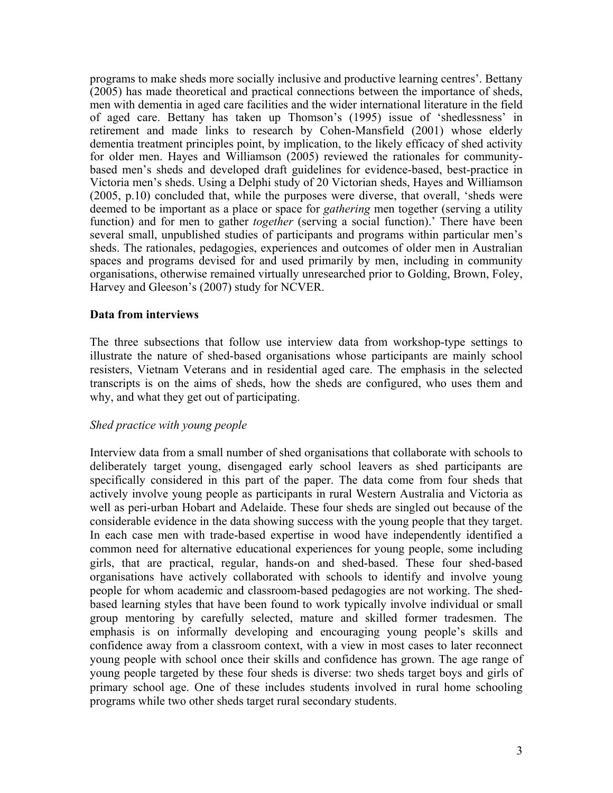programs to make sheds more socially inclusive and productive learning centres'. Bettany (2005) has made theoretical and practical connections between the importance of sheds, men with dementia in aged care facilities and the wider international literature in the field of aged care. Bettany has taken up Thomson's (1995) issue of 'shedlessness' in retirement and made links to research by Cohen-Mansfield (2001) whose elderly dementia treatment principles point, by implication, to the likely efficacy of shed activity for older men. Hayes and Williamson (2005) reviewed the rationales for communitybased men's sheds and developed draft guidelines for evidence-based, best-practice in Victoria men's sheds. Using a Delphi study of 20 Victorian sheds, Hayes and Williamson (2005, p.10) concluded that, while the purposes were diverse, that overall, 'sheds were deemed to be important as a place or space for *gathering* men together (serving a utility function) and for men to gather *together* (serving a social function).' There have been several small, unpublished studies of participants and programs within particular men's sheds. The rationales, pedagogies, experiences and outcomes of older men in Australian spaces and programs devised for and used primarily by men, including in community organisations, otherwise remained virtually unresearched prior to Golding, Brown, Foley, Harvey and Gleeson's (2007) study for NCVER.

## **Data from interviews**

The three subsections that follow use interview data from workshop-type settings to illustrate the nature of shed-based organisations whose participants are mainly school resisters, Vietnam Veterans and in residential aged care. The emphasis in the selected transcripts is on the aims of sheds, how the sheds are configured, who uses them and why, and what they get out of participating.

## *Shed practice with young people*

Interview data from a small number of shed organisations that collaborate with schools to deliberately target young, disengaged early school leavers as shed participants are specifically considered in this part of the paper. The data come from four sheds that actively involve young people as participants in rural Western Australia and Victoria as well as peri-urban Hobart and Adelaide. These four sheds are singled out because of the considerable evidence in the data showing success with the young people that they target. In each case men with trade-based expertise in wood have independently identified a common need for alternative educational experiences for young people, some including girls, that are practical, regular, hands-on and shed-based. These four shed-based organisations have actively collaborated with schools to identify and involve young people for whom academic and classroom-based pedagogies are not working. The shedbased learning styles that have been found to work typically involve individual or small group mentoring by carefully selected, mature and skilled former tradesmen. The emphasis is on informally developing and encouraging young people's skills and confidence away from a classroom context, with a view in most cases to later reconnect young people with school once their skills and confidence has grown. The age range of young people targeted by these four sheds is diverse: two sheds target boys and girls of primary school age. One of these includes students involved in rural home schooling programs while two other sheds target rural secondary students.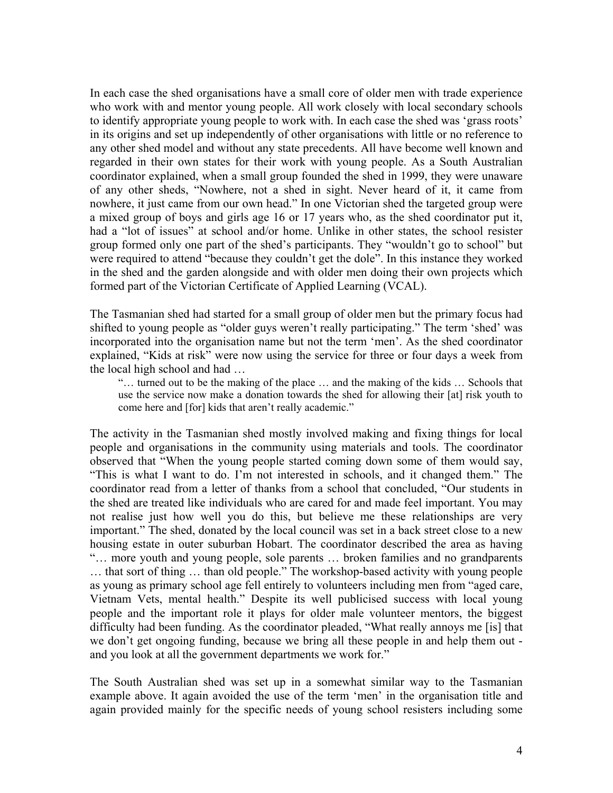In each case the shed organisations have a small core of older men with trade experience who work with and mentor young people. All work closely with local secondary schools to identify appropriate young people to work with. In each case the shed was 'grass roots' in its origins and set up independently of other organisations with little or no reference to any other shed model and without any state precedents. All have become well known and regarded in their own states for their work with young people. As a South Australian coordinator explained, when a small group founded the shed in 1999, they were unaware of any other sheds, "Nowhere, not a shed in sight. Never heard of it, it came from nowhere, it just came from our own head." In one Victorian shed the targeted group were a mixed group of boys and girls age 16 or 17 years who, as the shed coordinator put it, had a "lot of issues" at school and/or home. Unlike in other states, the school resister group formed only one part of the shed's participants. They "wouldn't go to school" but were required to attend "because they couldn't get the dole". In this instance they worked in the shed and the garden alongside and with older men doing their own projects which formed part of the Victorian Certificate of Applied Learning (VCAL).

The Tasmanian shed had started for a small group of older men but the primary focus had shifted to young people as "older guys weren't really participating." The term 'shed' was incorporated into the organisation name but not the term 'men'. As the shed coordinator explained, "Kids at risk" were now using the service for three or four days a week from the local high school and had …

"… turned out to be the making of the place … and the making of the kids … Schools that use the service now make a donation towards the shed for allowing their [at] risk youth to come here and [for] kids that aren't really academic."

The activity in the Tasmanian shed mostly involved making and fixing things for local people and organisations in the community using materials and tools. The coordinator observed that "When the young people started coming down some of them would say, "This is what I want to do. I'm not interested in schools, and it changed them." The coordinator read from a letter of thanks from a school that concluded, "Our students in the shed are treated like individuals who are cared for and made feel important. You may not realise just how well you do this, but believe me these relationships are very important." The shed, donated by the local council was set in a back street close to a new housing estate in outer suburban Hobart. The coordinator described the area as having "… more youth and young people, sole parents … broken families and no grandparents … that sort of thing … than old people." The workshop-based activity with young people as young as primary school age fell entirely to volunteers including men from "aged care, Vietnam Vets, mental health." Despite its well publicised success with local young people and the important role it plays for older male volunteer mentors, the biggest difficulty had been funding. As the coordinator pleaded, "What really annoys me [is] that we don't get ongoing funding, because we bring all these people in and help them out and you look at all the government departments we work for."

The South Australian shed was set up in a somewhat similar way to the Tasmanian example above. It again avoided the use of the term 'men' in the organisation title and again provided mainly for the specific needs of young school resisters including some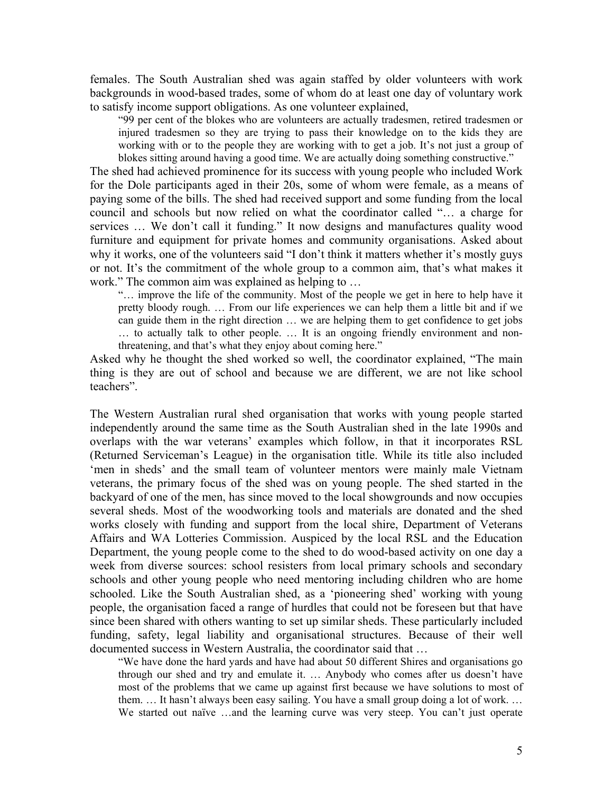females. The South Australian shed was again staffed by older volunteers with work backgrounds in wood-based trades, some of whom do at least one day of voluntary work to satisfy income support obligations. As one volunteer explained,

"99 per cent of the blokes who are volunteers are actually tradesmen, retired tradesmen or injured tradesmen so they are trying to pass their knowledge on to the kids they are working with or to the people they are working with to get a job. It's not just a group of blokes sitting around having a good time. We are actually doing something constructive."

The shed had achieved prominence for its success with young people who included Work for the Dole participants aged in their 20s, some of whom were female, as a means of paying some of the bills. The shed had received support and some funding from the local council and schools but now relied on what the coordinator called "… a charge for services … We don't call it funding." It now designs and manufactures quality wood furniture and equipment for private homes and community organisations. Asked about why it works, one of the volunteers said "I don't think it matters whether it's mostly guys or not. It's the commitment of the whole group to a common aim, that's what makes it work." The common aim was explained as helping to …

"… improve the life of the community. Most of the people we get in here to help have it pretty bloody rough. … From our life experiences we can help them a little bit and if we can guide them in the right direction … we are helping them to get confidence to get jobs … to actually talk to other people. … It is an ongoing friendly environment and nonthreatening, and that's what they enjoy about coming here."

Asked why he thought the shed worked so well, the coordinator explained, "The main thing is they are out of school and because we are different, we are not like school teachers".

The Western Australian rural shed organisation that works with young people started independently around the same time as the South Australian shed in the late 1990s and overlaps with the war veterans' examples which follow, in that it incorporates RSL (Returned Serviceman's League) in the organisation title. While its title also included 'men in sheds' and the small team of volunteer mentors were mainly male Vietnam veterans, the primary focus of the shed was on young people. The shed started in the backyard of one of the men, has since moved to the local showgrounds and now occupies several sheds. Most of the woodworking tools and materials are donated and the shed works closely with funding and support from the local shire, Department of Veterans Affairs and WA Lotteries Commission. Auspiced by the local RSL and the Education Department, the young people come to the shed to do wood-based activity on one day a week from diverse sources: school resisters from local primary schools and secondary schools and other young people who need mentoring including children who are home schooled. Like the South Australian shed, as a 'pioneering shed' working with young people, the organisation faced a range of hurdles that could not be foreseen but that have since been shared with others wanting to set up similar sheds. These particularly included funding, safety, legal liability and organisational structures. Because of their well documented success in Western Australia, the coordinator said that …

"We have done the hard yards and have had about 50 different Shires and organisations go through our shed and try and emulate it. … Anybody who comes after us doesn't have most of the problems that we came up against first because we have solutions to most of them. … It hasn't always been easy sailing. You have a small group doing a lot of work. … We started out naïve ...and the learning curve was very steep. You can't just operate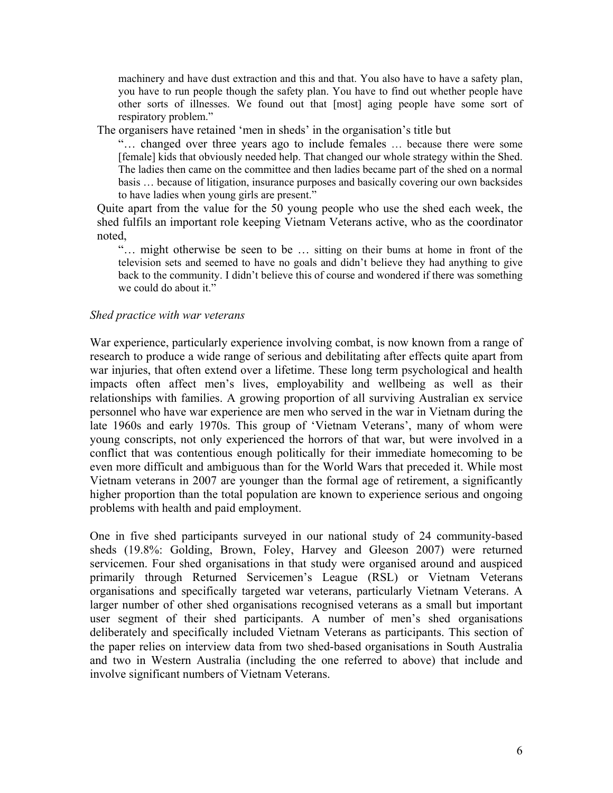machinery and have dust extraction and this and that. You also have to have a safety plan, you have to run people though the safety plan. You have to find out whether people have other sorts of illnesses. We found out that [most] aging people have some sort of respiratory problem."

The organisers have retained 'men in sheds' in the organisation's title but

"… changed over three years ago to include females … because there were some [female] kids that obviously needed help. That changed our whole strategy within the Shed. The ladies then came on the committee and then ladies became part of the shed on a normal basis … because of litigation, insurance purposes and basically covering our own backsides to have ladies when young girls are present."

Quite apart from the value for the 50 young people who use the shed each week, the shed fulfils an important role keeping Vietnam Veterans active, who as the coordinator noted,

"… might otherwise be seen to be … sitting on their bums at home in front of the television sets and seemed to have no goals and didn't believe they had anything to give back to the community. I didn't believe this of course and wondered if there was something we could do about it."

#### *Shed practice with war veterans*

War experience, particularly experience involving combat, is now known from a range of research to produce a wide range of serious and debilitating after effects quite apart from war injuries, that often extend over a lifetime. These long term psychological and health impacts often affect men's lives, employability and wellbeing as well as their relationships with families. A growing proportion of all surviving Australian ex service personnel who have war experience are men who served in the war in Vietnam during the late 1960s and early 1970s. This group of 'Vietnam Veterans', many of whom were young conscripts, not only experienced the horrors of that war, but were involved in a conflict that was contentious enough politically for their immediate homecoming to be even more difficult and ambiguous than for the World Wars that preceded it. While most Vietnam veterans in 2007 are younger than the formal age of retirement, a significantly higher proportion than the total population are known to experience serious and ongoing problems with health and paid employment.

One in five shed participants surveyed in our national study of 24 community-based sheds (19.8%: Golding, Brown, Foley, Harvey and Gleeson 2007) were returned servicemen. Four shed organisations in that study were organised around and auspiced primarily through Returned Servicemen's League (RSL) or Vietnam Veterans organisations and specifically targeted war veterans, particularly Vietnam Veterans. A larger number of other shed organisations recognised veterans as a small but important user segment of their shed participants. A number of men's shed organisations deliberately and specifically included Vietnam Veterans as participants. This section of the paper relies on interview data from two shed-based organisations in South Australia and two in Western Australia (including the one referred to above) that include and involve significant numbers of Vietnam Veterans.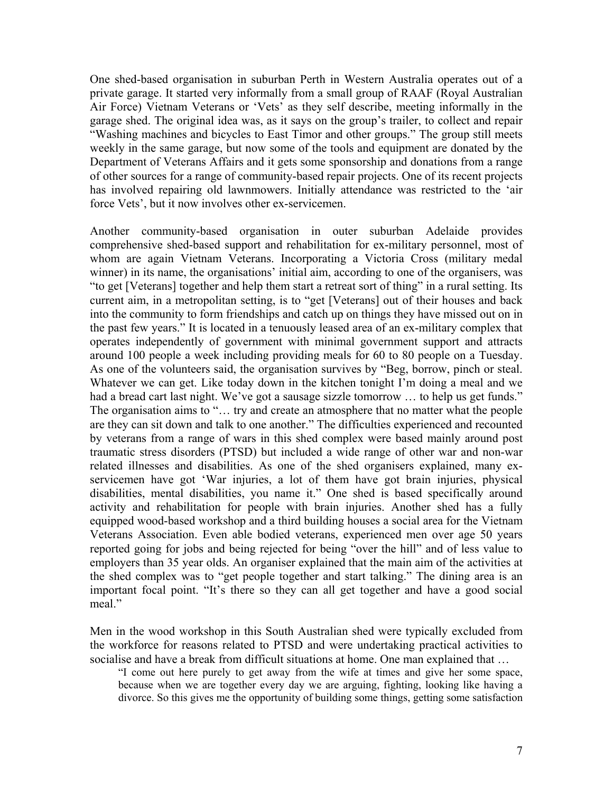One shed-based organisation in suburban Perth in Western Australia operates out of a private garage. It started very informally from a small group of RAAF (Royal Australian Air Force) Vietnam Veterans or 'Vets' as they self describe, meeting informally in the garage shed. The original idea was, as it says on the group's trailer, to collect and repair "Washing machines and bicycles to East Timor and other groups." The group still meets weekly in the same garage, but now some of the tools and equipment are donated by the Department of Veterans Affairs and it gets some sponsorship and donations from a range of other sources for a range of community-based repair projects. One of its recent projects has involved repairing old lawnmowers. Initially attendance was restricted to the 'air force Vets', but it now involves other ex-servicemen.

Another community-based organisation in outer suburban Adelaide provides comprehensive shed-based support and rehabilitation for ex-military personnel, most of whom are again Vietnam Veterans. Incorporating a Victoria Cross (military medal winner) in its name, the organisations' initial aim, according to one of the organisers, was "to get [Veterans] together and help them start a retreat sort of thing" in a rural setting. Its current aim, in a metropolitan setting, is to "get [Veterans] out of their houses and back into the community to form friendships and catch up on things they have missed out on in the past few years." It is located in a tenuously leased area of an ex-military complex that operates independently of government with minimal government support and attracts around 100 people a week including providing meals for 60 to 80 people on a Tuesday. As one of the volunteers said, the organisation survives by "Beg, borrow, pinch or steal. Whatever we can get. Like today down in the kitchen tonight I'm doing a meal and we had a bread cart last night. We've got a sausage sizzle tomorrow ... to help us get funds." The organisation aims to "… try and create an atmosphere that no matter what the people are they can sit down and talk to one another." The difficulties experienced and recounted by veterans from a range of wars in this shed complex were based mainly around post traumatic stress disorders (PTSD) but included a wide range of other war and non-war related illnesses and disabilities. As one of the shed organisers explained, many exservicemen have got 'War injuries, a lot of them have got brain injuries, physical disabilities, mental disabilities, you name it." One shed is based specifically around activity and rehabilitation for people with brain injuries. Another shed has a fully equipped wood-based workshop and a third building houses a social area for the Vietnam Veterans Association. Even able bodied veterans, experienced men over age 50 years reported going for jobs and being rejected for being "over the hill" and of less value to employers than 35 year olds. An organiser explained that the main aim of the activities at the shed complex was to "get people together and start talking." The dining area is an important focal point. "It's there so they can all get together and have a good social meal."

Men in the wood workshop in this South Australian shed were typically excluded from the workforce for reasons related to PTSD and were undertaking practical activities to socialise and have a break from difficult situations at home. One man explained that …

"I come out here purely to get away from the wife at times and give her some space, because when we are together every day we are arguing, fighting, looking like having a divorce. So this gives me the opportunity of building some things, getting some satisfaction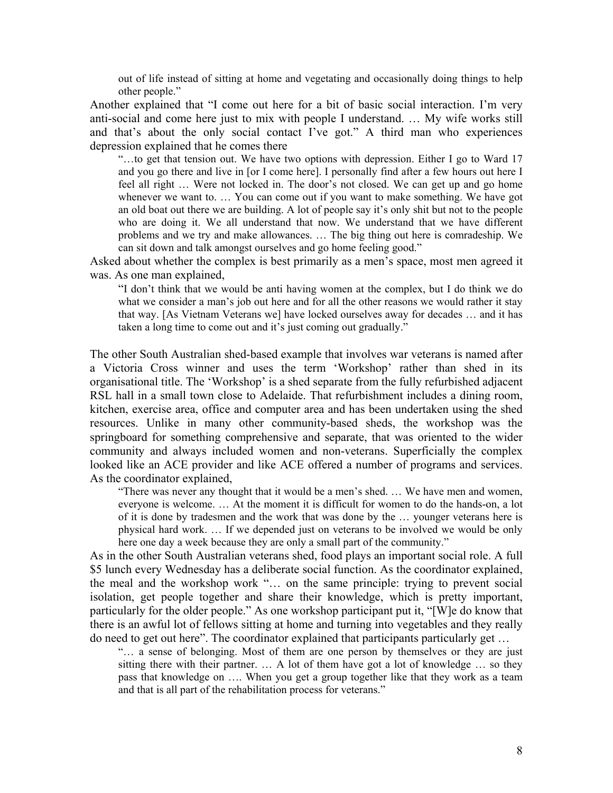out of life instead of sitting at home and vegetating and occasionally doing things to help other people."

Another explained that "I come out here for a bit of basic social interaction. I'm very anti-social and come here just to mix with people I understand. … My wife works still and that's about the only social contact I've got." A third man who experiences depression explained that he comes there

"…to get that tension out. We have two options with depression. Either I go to Ward 17 and you go there and live in [or I come here]. I personally find after a few hours out here I feel all right … Were not locked in. The door's not closed. We can get up and go home whenever we want to. ... You can come out if you want to make something. We have got an old boat out there we are building. A lot of people say it's only shit but not to the people who are doing it. We all understand that now. We understand that we have different problems and we try and make allowances. … The big thing out here is comradeship. We can sit down and talk amongst ourselves and go home feeling good."

Asked about whether the complex is best primarily as a men's space, most men agreed it was. As one man explained,

"I don't think that we would be anti having women at the complex, but I do think we do what we consider a man's job out here and for all the other reasons we would rather it stay that way. [As Vietnam Veterans we] have locked ourselves away for decades … and it has taken a long time to come out and it's just coming out gradually."

The other South Australian shed-based example that involves war veterans is named after a Victoria Cross winner and uses the term 'Workshop' rather than shed in its organisational title. The 'Workshop' is a shed separate from the fully refurbished adjacent RSL hall in a small town close to Adelaide. That refurbishment includes a dining room, kitchen, exercise area, office and computer area and has been undertaken using the shed resources. Unlike in many other community-based sheds, the workshop was the springboard for something comprehensive and separate, that was oriented to the wider community and always included women and non-veterans. Superficially the complex looked like an ACE provider and like ACE offered a number of programs and services. As the coordinator explained,

"There was never any thought that it would be a men's shed. … We have men and women, everyone is welcome. … At the moment it is difficult for women to do the hands-on, a lot of it is done by tradesmen and the work that was done by the … younger veterans here is physical hard work. … If we depended just on veterans to be involved we would be only here one day a week because they are only a small part of the community."

As in the other South Australian veterans shed, food plays an important social role. A full \$5 lunch every Wednesday has a deliberate social function. As the coordinator explained, the meal and the workshop work "… on the same principle: trying to prevent social isolation, get people together and share their knowledge, which is pretty important, particularly for the older people." As one workshop participant put it, "[W]e do know that there is an awful lot of fellows sitting at home and turning into vegetables and they really do need to get out here". The coordinator explained that participants particularly get …

"… a sense of belonging. Most of them are one person by themselves or they are just sitting there with their partner. … A lot of them have got a lot of knowledge … so they pass that knowledge on …. When you get a group together like that they work as a team and that is all part of the rehabilitation process for veterans."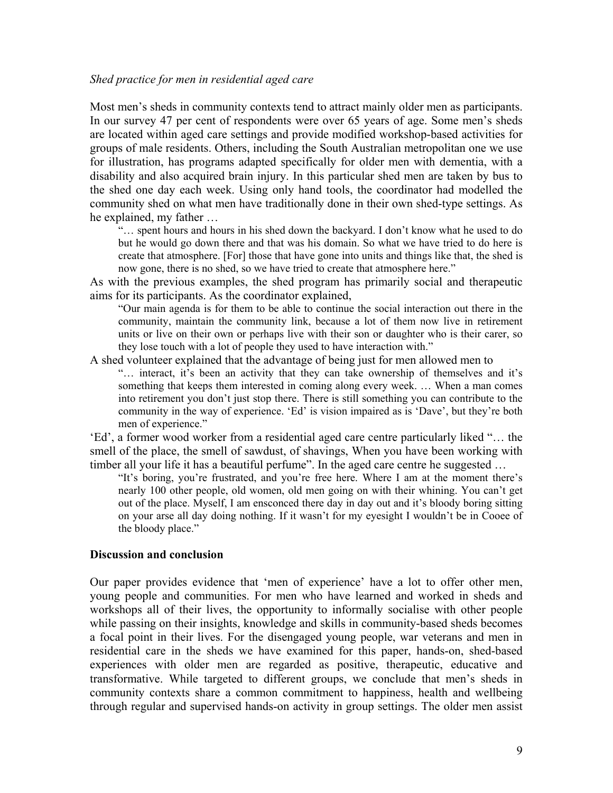#### *Shed practice for men in residential aged care*

Most men's sheds in community contexts tend to attract mainly older men as participants. In our survey 47 per cent of respondents were over 65 years of age. Some men's sheds are located within aged care settings and provide modified workshop-based activities for groups of male residents. Others, including the South Australian metropolitan one we use for illustration, has programs adapted specifically for older men with dementia, with a disability and also acquired brain injury. In this particular shed men are taken by bus to the shed one day each week. Using only hand tools, the coordinator had modelled the community shed on what men have traditionally done in their own shed-type settings. As he explained, my father …

"… spent hours and hours in his shed down the backyard. I don't know what he used to do but he would go down there and that was his domain. So what we have tried to do here is create that atmosphere. [For] those that have gone into units and things like that, the shed is now gone, there is no shed, so we have tried to create that atmosphere here."

As with the previous examples, the shed program has primarily social and therapeutic aims for its participants. As the coordinator explained,

"Our main agenda is for them to be able to continue the social interaction out there in the community, maintain the community link, because a lot of them now live in retirement units or live on their own or perhaps live with their son or daughter who is their carer, so they lose touch with a lot of people they used to have interaction with."

A shed volunteer explained that the advantage of being just for men allowed men to

"… interact, it's been an activity that they can take ownership of themselves and it's something that keeps them interested in coming along every week. … When a man comes into retirement you don't just stop there. There is still something you can contribute to the community in the way of experience. 'Ed' is vision impaired as is 'Dave', but they're both men of experience."

'Ed', a former wood worker from a residential aged care centre particularly liked "… the smell of the place, the smell of sawdust, of shavings, When you have been working with timber all your life it has a beautiful perfume". In the aged care centre he suggested ...

"It's boring, you're frustrated, and you're free here. Where I am at the moment there's nearly 100 other people, old women, old men going on with their whining. You can't get out of the place. Myself, I am ensconced there day in day out and it's bloody boring sitting on your arse all day doing nothing. If it wasn't for my eyesight I wouldn't be in Cooee of the bloody place."

#### **Discussion and conclusion**

Our paper provides evidence that 'men of experience' have a lot to offer other men, young people and communities. For men who have learned and worked in sheds and workshops all of their lives, the opportunity to informally socialise with other people while passing on their insights, knowledge and skills in community-based sheds becomes a focal point in their lives. For the disengaged young people, war veterans and men in residential care in the sheds we have examined for this paper, hands-on, shed-based experiences with older men are regarded as positive, therapeutic, educative and transformative. While targeted to different groups, we conclude that men's sheds in community contexts share a common commitment to happiness, health and wellbeing through regular and supervised hands-on activity in group settings. The older men assist